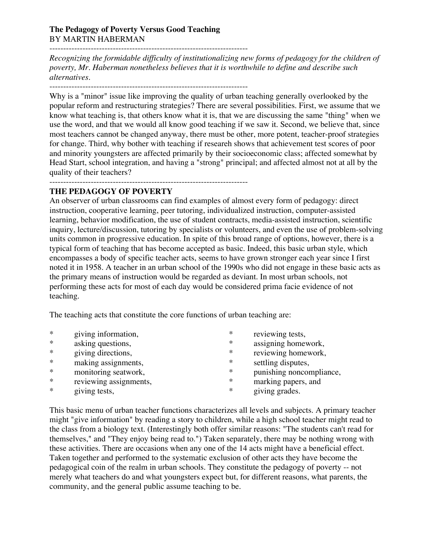#### **The Pedagogy of Poverty Versus Good Teaching** BY MARTIN HABERMAN

------------------------------------------------------------------------

*Recognizing the formidable difficulty of institutionalizing new forms of pedagogy for the children of poverty, Mr. Haberman nonetheless believes that it is worthwhile to define and describe such alternatives.*

Why is a "minor" issue like improving the quality of urban teaching generally overlooked by the popular reform and restructuring strategies? There are several possibilities. First, we assume that we know what teaching is, that others know what it is, that we are discussing the same "thing" when we use the word, and that we would all know good teaching if we saw it. Second, we believe that, since most teachers cannot be changed anyway, there must be other, more potent, teacher-proof strategies for change. Third, why bother with teaching if researeh shows that achievement test scores of poor and minority youngsters are affected primarily by their socioeconomic class; affected somewhat by Head Start, school integration, and having a "strong" principal; and affected almost not at all by the quality of their teachers?

------------------------------------------------------------------------ **THE PEDAGOGY OF POVERTY**

An observer of urban classrooms can find examples of almost every form of pedagogy: direct instruction, cooperative learning, peer tutoring, individualized instruction, computer-assisted learning, behavior modification, the use of student contracts, media-assisted instruction, scientific inquiry, lecture/discussion, tutoring by specialists or volunteers, and even the use of problem-solving units common in progressive education. In spite of this broad range of options, however, there is a typical form of teaching that has become accepted as basic. Indeed, this basic urban style, which encompasses a body of specific teacher acts, seems to have grown stronger each year since I first noted it in 1958. A teacher in an urban school of the 1990s who did not engage in these basic acts as the primary means of instruction would be regarded as deviant. In most urban schools, not performing these acts for most of each day would be considered prima facie evidence of not teaching.

The teaching acts that constitute the core functions of urban teaching are:

| $\ast$ | giving information,    | $\ast$ | reviewing tests,         |
|--------|------------------------|--------|--------------------------|
| $\ast$ | asking questions,      | ∗      | assigning homework,      |
| $\ast$ | giving directions,     | $\ast$ | reviewing homework,      |
| $\ast$ | making assignments,    | $\ast$ | settling disputes,       |
| $\ast$ | monitoring seatwork,   | $\ast$ | punishing noncompliance, |
| $\ast$ | reviewing assignments, | $\ast$ | marking papers, and      |
| $\ast$ | giving tests,          | $\ast$ | giving grades.           |
|        |                        |        |                          |

This basic menu of urban teacher functions characterizes all levels and subjects. A primary teacher might "give information" by reading a story to children, while a high school teacher might read to the class from a biology text. (Interestingly both offer similar reasons: "The students can't read for themselves," and "They enjoy being read to.") Taken separately, there may be nothing wrong with these activities. There are occasions when any one of the 14 acts might have a beneficial effect. Taken together and performed to the systematic exclusion of other acts they have become the pedagogical coin of the realm in urban schools. They constitute the pedagogy of poverty -- not merely what teachers do and what youngsters expect but, for different reasons, what parents, the community, and the general public assume teaching to be.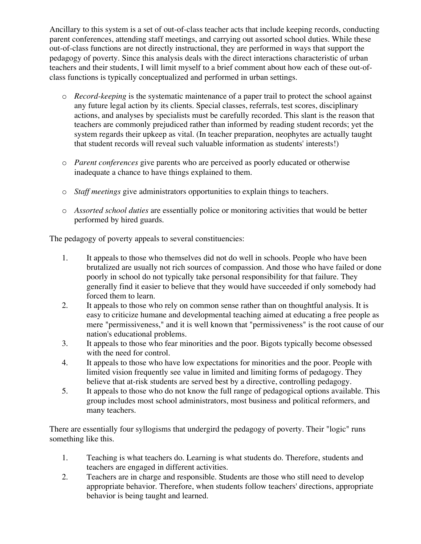Ancillary to this system is a set of out-of-class teacher acts that include keeping records, conducting parent conferences, attending staff meetings, and carrying out assorted school duties. While these out-of-class functions are not directly instructional, they are performed in ways that support the pedagogy of poverty. Since this analysis deals with the direct interactions characteristic of urban teachers and their students, I will limit myself to a brief comment about how each of these out-ofclass functions is typically conceptualized and performed in urban settings.

- o *Record-keeping* is the systematic maintenance of a paper trail to protect the school against any future legal action by its clients. Special classes, referrals, test scores, disciplinary actions, and analyses by specialists must be carefully recorded. This slant is the reason that teachers are commonly prejudiced rather than informed by reading student records; yet the system regards their upkeep as vital. (In teacher preparation, neophytes are actually taught that student records will reveal such valuable information as students' interests!)
- o *Parent conferences* give parents who are perceived as poorly educated or otherwise inadequate a chance to have things explained to them.
- o *Staff meetings* give administrators opportunities to explain things to teachers.
- o *Assorted school duties* are essentially police or monitoring activities that would be better performed by hired guards.

The pedagogy of poverty appeals to several constituencies:

- 1. It appeals to those who themselves did not do well in schools. People who have been brutalized are usually not rich sources of compassion. And those who have failed or done poorly in school do not typically take personal responsibility for that failure. They generally find it easier to believe that they would have succeeded if only somebody had forced them to learn.
- 2. It appeals to those who rely on common sense rather than on thoughtful analysis. It is easy to criticize humane and developmental teaching aimed at educating a free people as mere "permissiveness," and it is well known that "permissiveness" is the root cause of our nation's educational problems.
- 3. It appeals to those who fear minorities and the poor. Bigots typically become obsessed with the need for control.
- 4. It appeals to those who have low expectations for minorities and the poor. People with limited vision frequently see value in limited and limiting forms of pedagogy. They believe that at-risk students are served best by a directive, controlling pedagogy.
- 5. It appeals to those who do not know the full range of pedagogical options available. This group includes most school administrators, most business and political reformers, and many teachers.

There are essentially four syllogisms that undergird the pedagogy of poverty. Their "logic" runs something like this.

- 1. Teaching is what teachers do. Learning is what students do. Therefore, students and teachers are engaged in different activities.
- 2. Teachers are in charge and responsible. Students are those who still need to develop appropriate behavior. Therefore, when students follow teachers' directions, appropriate behavior is being taught and learned.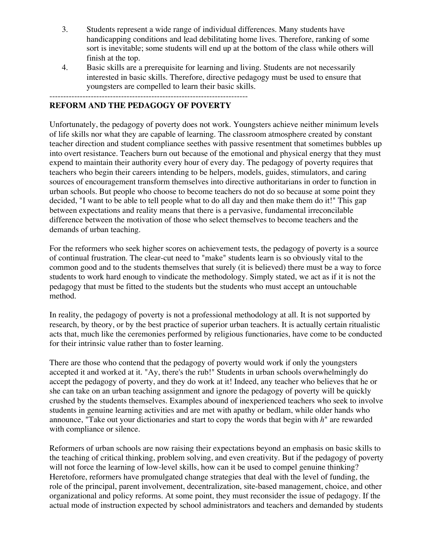- 3. Students represent a wide range of individual differences. Many students have handicapping conditions and lead debilitating home lives. Therefore, ranking of some sort is inevitable; some students will end up at the bottom of the class while others will finish at the top.
- 4. Basic skills are a prerequisite for learning and living. Students are not necessarily interested in basic skills. Therefore, directive pedagogy must be used to ensure that youngsters are compelled to learn their basic skills.

------------------------------------------------------------------------

#### **REFORM AND THE PEDAGOGY OF POVERTY**

Unfortunately, the pedagogy of poverty does not work. Youngsters achieve neither minimum levels of life skills nor what they are capable of learning. The classroom atmosphere created by constant teacher direction and student compliance seethes with passive resentment that sometimes bubbles up into overt resistance. Teachers burn out because of the emotional and physical energy that they must expend to maintain their authority every hour of every day. The pedagogy of poverty requires that teachers who begin their careers intending to be helpers, models, guides, stimulators, and caring sources of encouragement transform themselves into directive authoritarians in order to function in urban schools. But people who choose to become teachers do not do so because at some point they decided, "I want to be able to tell people what to do all day and then make them do it!" This gap between expectations and reality means that there is a pervasive, fundamental irreconcilable difference between the motivation of those who select themselves to become teachers and the demands of urban teaching.

For the reformers who seek higher scores on achievement tests, the pedagogy of poverty is a source of continual frustration. The clear-cut need to "make" students learn is so obviously vital to the common good and to the students themselves that surely (it is believed) there must be a way to force students to work hard enough to vindicate the methodology. Simply stated, we act as if it is not the pedagogy that must be fitted to the students but the students who must accept an untouchable method.

In reality, the pedagogy of poverty is not a professional methodology at all. It is not supported by research, by theory, or by the best practice of superior urban teachers. It is actually certain ritualistic acts that, much like the ceremonies performed by religious functionaries, have come to be conducted for their intrinsic value rather than to foster learning.

There are those who contend that the pedagogy of poverty would work if only the youngsters accepted it and worked at it. "Ay, there's the rub!" Students in urban schools overwhelmingly do accept the pedagogy of poverty, and they do work at it! Indeed, any teacher who believes that he or she can take on an urban teaching assignment and ignore the pedagogy of poverty will be quickly crushed by the students themselves. Examples abound of inexperienced teachers who seek to involve students in genuine learning activities and are met with apathy or bedlam, while older hands who announce, "Take out your dictionaries and start to copy the words that begin with *h*" are rewarded with compliance or silence.

Reformers of urban schools are now raising their expectations beyond an emphasis on basic skills to the teaching of critical thinking, problem solving, and even creativity. But if the pedagogy of poverty will not force the learning of low-level skills, how can it be used to compel genuine thinking? Heretofore, reformers have promulgated change strategies that deal with the level of funding, the role of the principal, parent involvement, decentralization, site-based management, choice, and other organizational and policy reforms. At some point, they must reconsider the issue of pedagogy. If the actual mode of instruction expected by school administrators and teachers and demanded by students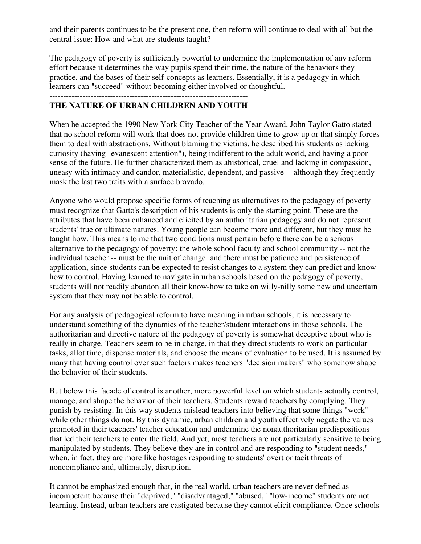and their parents continues to be the present one, then reform will continue to deal with all but the central issue: How and what are students taught?

The pedagogy of poverty is sufficiently powerful to undermine the implementation of any reform effort because it determines the way pupils spend their time, the nature of the behaviors they practice, and the bases of their self-concepts as learners. Essentially, it is a pedagogy in which learners can "succeed" without becoming either involved or thoughtful.

------------------------------------------------------------------------

# **THE NATURE OF URBAN CHILDREN AND YOUTH**

When he accepted the 1990 New York City Teacher of the Year Award, John Taylor Gatto stated that no school reform will work that does not provide children time to grow up or that simply forces them to deal with abstractions. Without blaming the victims, he described his students as lacking curiosity (having "evanescent attention"), being indifferent to the adult world, and having a poor sense of the future. He further characterized them as ahistorical, cruel and lacking in compassion, uneasy with intimacy and candor, materialistic, dependent, and passive -- although they frequently mask the last two traits with a surface bravado.

Anyone who would propose specific forms of teaching as alternatives to the pedagogy of poverty must recognize that Gatto's description of his students is only the starting point. These are the attributes that have been enhanced and elicited by an authoritarian pedagogy and do not represent students' true or ultimate natures. Young people can become more and different, but they must be taught how. This means to me that two conditions must pertain before there can be a serious alternative to the pedagogy of poverty: the whole school faculty and school community -- not the individual teacher -- must be the unit of change: and there must be patience and persistence of application, since students can be expected to resist changes to a system they can predict and know how to control. Having learned to navigate in urban schools based on the pedagogy of poverty, students will not readily abandon all their know-how to take on willy-nilly some new and uncertain system that they may not be able to control.

For any analysis of pedagogical reform to have meaning in urban schools, it is necessary to understand something of the dynamics of the teacher/student interactions in those schools. The authoritarian and directive nature of the pedagogy of poverty is somewhat deceptive about who is really in charge. Teachers seem to be in charge, in that they direct students to work on particular tasks, allot time, dispense materials, and choose the means of evaluation to be used. It is assumed by many that having control over such factors makes teachers "decision makers" who somehow shape the behavior of their students.

But below this facade of control is another, more powerful level on which students actually control, manage, and shape the behavior of their teachers. Students reward teachers by complying. They punish by resisting. In this way students mislead teachers into believing that some things "work" while other things do not. By this dynamic, urban children and youth effectively negate the values promoted in their teachers' teacher education and undermine the nonauthoritarian predispositions that led their teachers to enter the field. And yet, most teachers are not particularly sensitive to being manipulated by students. They believe they are in control and are responding to "student needs," when, in fact, they are more like hostages responding to students' overt or tacit threats of noncompliance and, ultimately, disruption.

It cannot be emphasized enough that, in the real world, urban teachers are never defined as incompetent because their "deprived," "disadvantaged," "abused," "low-income" students are not learning. Instead, urban teachers are castigated because they cannot elicit compliance. Once schools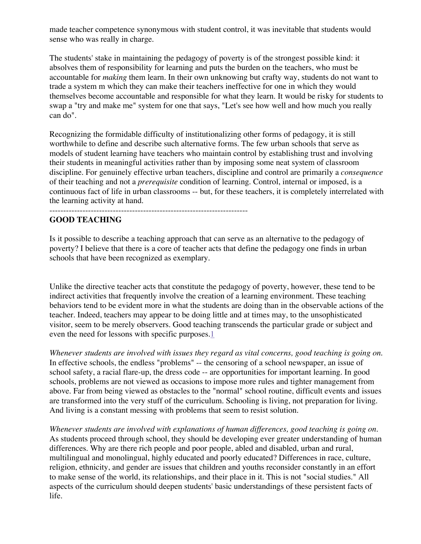made teacher competence synonymous with student control, it was inevitable that students would sense who was really in charge.

The students' stake in maintaining the pedagogy of poverty is of the strongest possible kind: it absolves them of responsibility for learning and puts the burden on the teachers, who must be accountable for *making* them learn. In their own unknowing but crafty way, students do not want to trade a system m which they can make their teachers ineffective for one in which they would themselves become accountable and responsible for what they learn. It would be risky for students to swap a "try and make me" system for one that says, "Let's see how well and how much you really can do".

Recognizing the formidable difficulty of institutionalizing other forms of pedagogy, it is still worthwhile to define and describe such alternative forms. The few urban schools that serve as models of student learning have teachers who maintain control by establishing trust and involving their students in meaningful activities rather than by imposing some neat system of classroom discipline. For genuinely effective urban teachers, discipline and control are primarily a *consequence* of their teaching and not a *prerequisite* condition of learning. Control, internal or imposed, is a continuous fact of life in urban classrooms -- but, for these teachers, it is completely interrelated with the learning activity at hand.

------------------------------------------------------------------------

# **GOOD TEACHING**

Is it possible to describe a teaching approach that can serve as an alternative to the pedagogy of poverty? I believe that there is a core of teacher acts that define the pedagogy one finds in urban schools that have been recognized as exemplary.

Unlike the directive teacher acts that constitute the pedagogy of poverty, however, these tend to be indirect activities that frequently involve the creation of a learning environment. These teaching behaviors tend to be evident more in what the students are doing than in the observable actions of the teacher. Indeed, teachers may appear to be doing little and at times may, to the unsophisticated visitor, seem to be merely observers. Good teaching transcends the particular grade or subject and even the need for lessons with specific purposes.1

*Whenever students are involved with issues they regard as vital concerns, good teaching is going on*. In effective schools, the endless "problems" -- the censoring of a school newspaper, an issue of school safety, a racial flare-up, the dress code -- are opportunities for important learning. In good schools, problems are not viewed as occasions to impose more rules and tighter management from above. Far from being viewed as obstacles to the "normal" school routine, difficult events and issues are transformed into the very stuff of the curriculum. Schooling is living, not preparation for living. And living is a constant messing with problems that seem to resist solution.

*Whenever students are involved with explanations of human differences, good teaching is going on.* As students proceed through school, they should be developing ever greater understanding of human differences. Why are there rich people and poor people, abled and disabled, urban and rural, multilingual and monolingual, highly educated and poorly educated? Differences in race, culture, religion, ethnicity, and gender are issues that children and youths reconsider constantly in an effort to make sense of the world, its relationships, and their place in it. This is not "social studies." All aspects of the curriculum should deepen students' basic understandings of these persistent facts of life.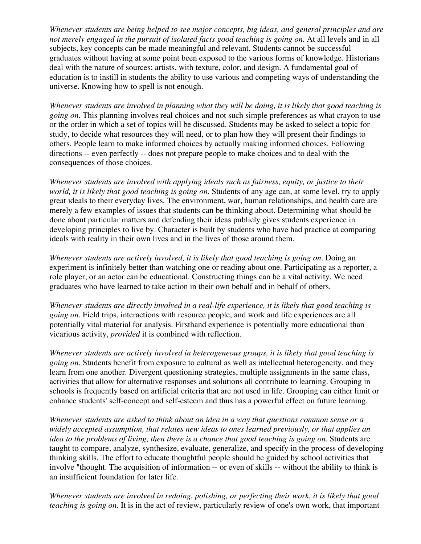*Whenever students are being helped to see major concepts, big ideas, and general principles and are not merely engaged in the pursuit of isolated facts good teaching is going on.* At all levels and in all subjects, key concepts can be made meaningful and relevant. Students cannot be successful graduates without having at some point been exposed to the various forms of knowledge. Historians deal with the nature of sources; artists, with texture, color, and design. A fundamental goal of education is to instill in students the ability to use various and competing ways of understanding the universe. Knowing how to spell is not enough.

*Whenever students are involved in planning what they will be doing, it is likely that good teaching is going on.* This planning involves real choices and not such simple preferences as what crayon to use or the order in which a set of topics will be discussed. Students may be asked to select a topic for study, to decide what resources they will need, or to plan how they will present their findings to others. People learn to make informed choices by actually making informed choices. Following directions -- even perfectly -- does not prepare people to make choices and to deal with the consequences of those choices.

*Whenever students are involved with applying ideals such as fairness, equity, or justice to their world, it is likely that good teaching is going on.* Students of any age can, at some level, try to apply great ideals to their everyday lives. The environment, war, human relationships, and health care are merely a few examples of issues that students can be thinking about. Determining what should be done about particular matters and defending their ideas publicly gives students experience in developing principles to live by. Character is built by students who have had practice at comparing ideals with reality in their own lives and in the lives of those around them.

*Whenever students are actively involved, it is likely that good teaching is going on.* Doing an experiment is infinitely better than watching one or reading about one. Participating as a reporter, a role player, or an actor can be educational. Constructing things can be a vital activity. We need graduates who have learned to take action in their own behalf and in behalf of others.

*Whenever students are directly involved in a real-life experience, it is likely that good teaching is going on.* Field trips, interactions with resource people, and work and life experiences are all potentially vital material for analysis. Firsthand experience is potentially more educational than vicarious activity, *provided* it is combined with reflection.

*Whenever students are actively involved in heterogeneous groups, it is likely that good teaching is going on.* Students benefit from exposure to cultural as well as intellectual heterogeneity, and they learn from one another. Divergent questioning strategies, multiple assignments in the same class, activities that allow for alternative responses and solutions all contribute to learning. Grouping in schools is frequently based on artificial criteria that are not used in life. Grouping can either limit or enhance students' self-concept and self-esteem and thus has a powerful effect on future learning.

*Whenever students are asked to think about an idea in a way that questions common sense or a widely accepted assumption, that relates new ideas to ones learned previously, or that applies an idea to the problems of living, then there is a chance that good teaching is going on. Students are* taught to compare, analyze, synthesize, evaluate, generalize, and specify in the process of developing thinking skills. The effort to educate thoughtful people should be guided by school activities that involve "thought. The acquisition of information -- or even of skills -- without the ability to think is an insufficient foundation for later life.

*Whenever students are involved in redoing, polishing, or perfecting their work, it is likely that good teaching is going on.* It is in the act of review, particularly review of one's own work, that important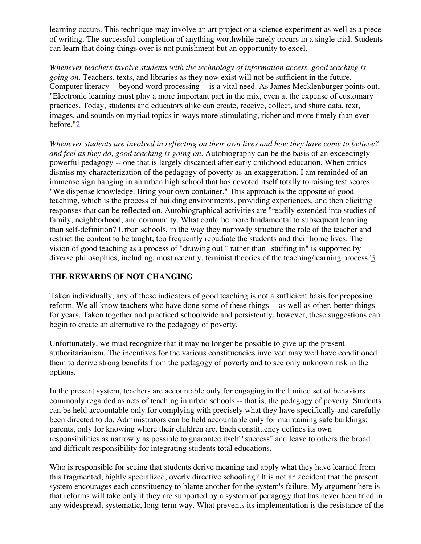learning occurs. This technique may involve an art project or a science experiment as well as a piece of writing. The successful completion of anything worthwhile rarely occurs in a single trial. Students can learn that doing things over is not punishment but an opportunity to excel.

*Whenever teachers involve students with the technology of information access, good teaching is going on.* Teachers, texts, and libraries as they now exist will not be sufficient in the future. Computer literacy -- beyond word processing -- is a vital need. As James Mecklenburger points out, "Electronic learning must play a more important part in the mix, even at the expense of customary practices. Today, students and educators alike can create, receive, collect, and share data, text, images, and sounds on myriad topics in ways more stimulating, richer and more timely than ever before."2

*Whenever students are involved in reflecting on their own lives and how they have come to believe? and feel as they do, good teaching is going on.* Autobiography can be the basis of an exceedingly powerful pedagogy -- one that is largely discarded after early childhood education. When critics dismiss my characterization of the pedagogy of poverty as an exaggeration, I am reminded of an immense sign hanging in an urban high school that has devoted itself totally to raising test scores: "We dispense knowledge. Bring your own container." This approach is the opposite of good teaching, which is the process of building environments, providing experiences, and then eliciting responses that can be reflected on. Autobiographical activities are "readily extended into studies of family, neighborhood, and community. What could be more fundamental to subsequent learning than self-definition? Urban schools, in the way they narrowly structure the role of the teacher and restrict the content to be taught, too frequently repudiate the students and their home lives. The vision of good teaching as a process of "drawing out " rather than "stuffing in" is supported by diverse philosophies, including, most recently, feminist theories of the teaching/learning process.'3

------------------------------------------------------------------------

# **THE REWARDS OF NOT CHANGING**

Taken individually, any of these indicators of good teaching is not a sufficient basis for proposing reform. We all know teachers who have done some of these things -- as well as other, better things - for years. Taken together and practiced schoolwide and persistently, however, these suggestions can begin to create an alternative to the pedagogy of poverty.

Unfortunately, we must recognize that it may no longer be possible to give up the present authoritarianism. The incentives for the various constituencies involved may well have conditioned them to derive strong benefits from the pedagogy of poverty and to see only unknown risk in the options.

In the present system, teachers are accountable only for engaging in the limited set of behaviors commonly regarded as acts of teaching in urban schools -- that is, the pedagogy of poverty. Students can be held accountable only for complying with precisely what they have specifically and carefully been directed to do. Administrators can be held accountable only for maintaining safe buildings; parents, only for knowing where their children are. Each constituency defines its own responsibilities as narrowly as possible to guarantee itself "success" and leave to others the broad and difficult responsibility for integrating students total educations.

Who is responsible for seeing that students derive meaning and apply what they have learned from this fragmented, highly specialized, overly directive schooling? It is not an accident that the present system encourages each constituency to blame another for the system's failure. My argument here is that reforms will take only if they are supported by a system of pedagogy that has never been tried in any widespread, systematic, long-term way. What prevents its implementation is the resistance of the